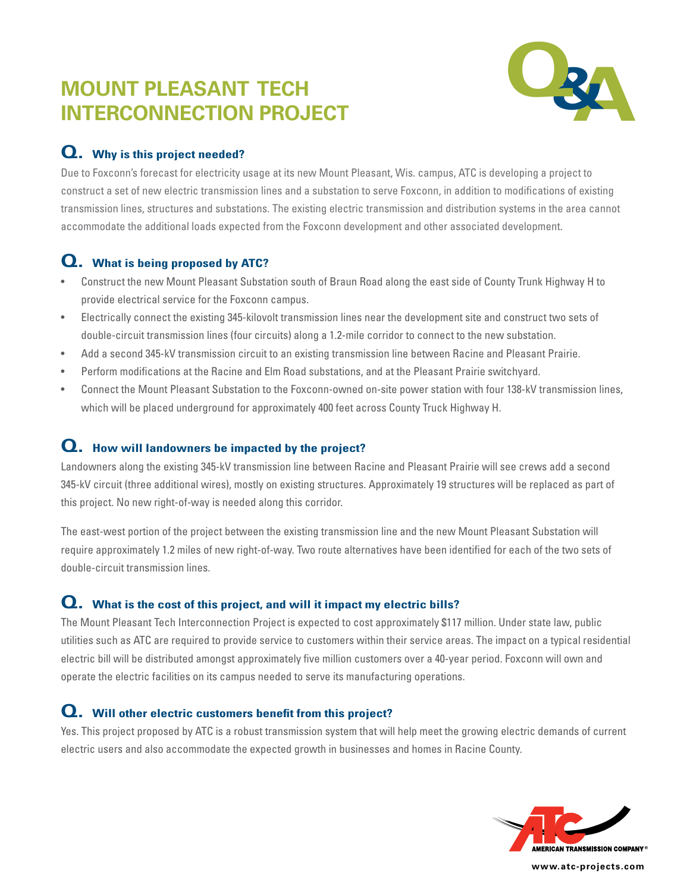# **MOUNT PLEASANT TECH INTERCONNECTION PROJECT**



## **Q. Why is this project needed?**

Due to Foxconn's forecast for electricity usage at its new Mount Pleasant, Wis. campus, ATC is developing a project to construct a set of new electric transmission lines and a substation to serve Foxconn, in addition to modifications of existing transmission lines, structures and substations. The existing electric transmission and distribution systems in the area cannot accommodate the additional loads expected from the Foxconn development and other associated development.

## **Q. What is being proposed by ATC?**

- Construct the new Mount Pleasant Substation south of Braun Road along the east side of County Trunk Highway H to provide electrical service for the Foxconn campus.
- Electrically connect the existing 345-kilovolt transmission lines near the development site and construct two sets of double-circuit transmission lines (four circuits) along a 1.2-mile corridor to connect to the new substation.
- Add a second 345-kV transmission circuit to an existing transmission line between Racine and Pleasant Prairie.
- Perform modifications at the Racine and Elm Road substations, and at the Pleasant Prairie switchyard.
- Connect the Mount Pleasant Substation to the Foxconn-owned on-site power station with four 138-kV transmission lines, which will be placed underground for approximately 400 feet across County Truck Highway H.

#### **Q. How will landowners be impacted by the project?**

Landowners along the existing 345-kV transmission line between Racine and Pleasant Prairie will see crews add a second 345-kV circuit (three additional wires), mostly on existing structures. Approximately 19 structures will be replaced as part of this project. No new right-of-way is needed along this corridor.

The east-west portion of the project between the existing transmission line and the new Mount Pleasant Substation will require approximately 1.2 miles of new right-of-way. Two route alternatives have been identified for each of the two sets of double-circuit transmission lines.

### **Q. What is the cost of this project, and will it impact my electric bills?**

The Mount Pleasant Tech Interconnection Project is expected to cost approximately \$117 million. Under state law, public utilities such as ATC are required to provide service to customers within their service areas. The impact on a typical residential electric bill will be distributed amongst approximately five million customers over a 40-year period. Foxconn will own and operate the electric facilities on its campus needed to serve its manufacturing operations.

### **Q. Will other electric customers benefit from this project?**

Yes. This project proposed by ATC is a robust transmission system that will help meet the growing electric demands of current electric users and also accommodate the expected growth in businesses and homes in Racine County.



**www.atc-projects.com**